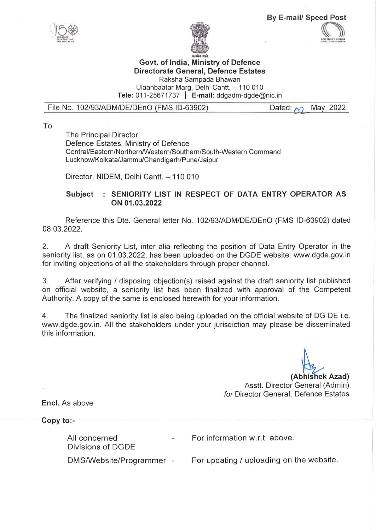

IE: ENCE E le VIER CARDINATION





## **Govt. of India, Ministry of Defence Directorate General, Defence Estates**

Raksha Sampada Bhawan

Ulaanbaatar Marg, Delhi Cantt. - 110 010 **Tele:** 011-25671737 I **E-mail:** ddgadm-dgde@nic.in

File No. 102/93/ADM/DE/DEnO (FMS ID-63902) Dated:  $\bigcirc$  May, 2022

To

The Principal Director Defence Estates, Ministry of Defence Central/Eastern/Northern/Western/Southern/South-Western Command Lucknow/Kolkata/Jammu/Chandigarh/Pune/Jaipur

Director, NIDEM, Delhi Cantt. - 110 010

## Subject : SENIORITY LIST IN RESPECT OF DATA ENTRY OPERATOR AS **ON 01.03.2022**

Reference this Dte. General letter No. 1 02/93/ADM/DE/DEnO (FMS 10-63902) dated 08.03.2022.

2. A draft Seniority List, inter alia reflecting the position of Data Entry Operator in the seniority list, as on 01.03.2022, has been uploaded on the DGDE website: www.dgde.gov.in for inviting objections of all the stakeholders through proper channel.

3. After verifying / disposing objection(s) raised against the draft seniority list published on official website, a seniority list has been finalized with approval of the Competent Authority. A copy of the same is enclosed herewith for your information.

4. The finalized seniority list is also being uploaded on the official website of DG DE i.e. www.dgde.gov.in. All the stakeholders under your jurisdiction may please be disseminated this information.

Asstt. Director General (Admin) (Abhishek Azad) for Director General, Defence Estates

**Encl.** As above

**Copy to:-**

All concerned Divisions of DGDE

OMS/Website/Programmer -

For information w.r.t. above.

For updating / uploading on the website.